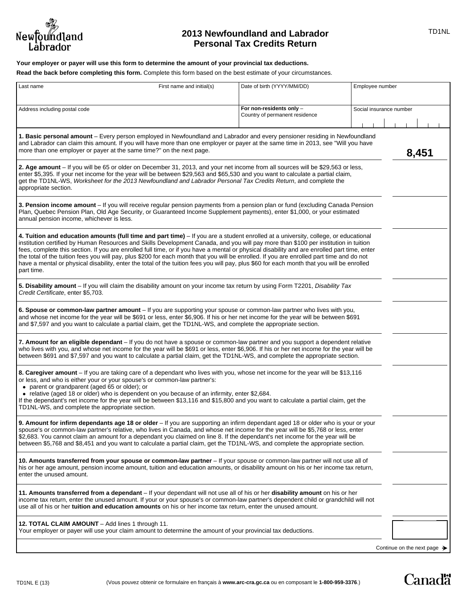

# **2013 Newfoundland and Labrador** *ID1NL* **Personal Tax Credits Return**

**Your employer or payer will use this form to determine the amount of your provincial tax deductions.**

**Read the back before completing this form.** Complete this form based on the best estimate of your circumstances.

| Last name                                                                                                                                                                                                                                                                                                                                                                                                                                                                                                                                                                                                                                                                                                                           | First name and initial(s) | Date of birth (YYYY/MM/DD)                                 | Employee number                         |
|-------------------------------------------------------------------------------------------------------------------------------------------------------------------------------------------------------------------------------------------------------------------------------------------------------------------------------------------------------------------------------------------------------------------------------------------------------------------------------------------------------------------------------------------------------------------------------------------------------------------------------------------------------------------------------------------------------------------------------------|---------------------------|------------------------------------------------------------|-----------------------------------------|
| Address including postal code                                                                                                                                                                                                                                                                                                                                                                                                                                                                                                                                                                                                                                                                                                       |                           | For non-residents only -<br>Country of permanent residence | Social insurance number                 |
| 1. Basic personal amount - Every person employed in Newfoundland and Labrador and every pensioner residing in Newfoundland<br>and Labrador can claim this amount. If you will have more than one employer or payer at the same time in 2013, see "Will you have<br>more than one employer or payer at the same time?" on the next page.<br>8,451                                                                                                                                                                                                                                                                                                                                                                                    |                           |                                                            |                                         |
| 2. Age amount – If you will be 65 or older on December 31, 2013, and your net income from all sources will be \$29,563 or less,<br>enter \$5,395. If your net income for the year will be between \$29,563 and \$65,530 and you want to calculate a partial claim,<br>get the TD1NL-WS, Worksheet for the 2013 Newfoundland and Labrador Personal Tax Credits Return, and complete the<br>appropriate section.                                                                                                                                                                                                                                                                                                                      |                           |                                                            |                                         |
| 3. Pension income amount – If you will receive regular pension payments from a pension plan or fund (excluding Canada Pension<br>Plan, Quebec Pension Plan, Old Age Security, or Guaranteed Income Supplement payments), enter \$1,000, or your estimated<br>annual pension income, whichever is less.                                                                                                                                                                                                                                                                                                                                                                                                                              |                           |                                                            |                                         |
| 4. Tuition and education amounts (full time and part time) - If you are a student enrolled at a university, college, or educational<br>institution certified by Human Resources and Skills Development Canada, and you will pay more than \$100 per institution in tuition<br>fees, complete this section. If you are enrolled full time, or if you have a mental or physical disability and are enrolled part time, enter<br>the total of the tuition fees you will pay, plus \$200 for each month that you will be enrolled. If you are enrolled part time and do not<br>have a mental or physical disability, enter the total of the tuition fees you will pay, plus \$60 for each month that you will be enrolled<br>part time. |                           |                                                            |                                         |
| 5. Disability amount - If you will claim the disability amount on your income tax return by using Form T2201, Disability Tax<br>Credit Certificate, enter \$5,703.                                                                                                                                                                                                                                                                                                                                                                                                                                                                                                                                                                  |                           |                                                            |                                         |
| 6. Spouse or common-law partner amount - If you are supporting your spouse or common-law partner who lives with you,<br>and whose net income for the year will be \$691 or less, enter \$6,906. If his or her net income for the year will be between \$691<br>and \$7,597 and you want to calculate a partial claim, get the TD1NL-WS, and complete the appropriate section.                                                                                                                                                                                                                                                                                                                                                       |                           |                                                            |                                         |
| 7. Amount for an eligible dependant – If you do not have a spouse or common-law partner and you support a dependent relative<br>who lives with you, and whose net income for the year will be \$691 or less, enter \$6,906. If his or her net income for the year will be<br>between \$691 and \$7,597 and you want to calculate a partial claim, get the TD1NL-WS, and complete the appropriate section.                                                                                                                                                                                                                                                                                                                           |                           |                                                            |                                         |
| 8. Caregiver amount – If you are taking care of a dependant who lives with you, whose net income for the year will be \$13,116<br>or less, and who is either your or your spouse's or common-law partner's:<br>• parent or grandparent (aged 65 or older); or<br>• relative (aged 18 or older) who is dependent on you because of an infirmity, enter \$2,684.<br>If the dependant's net income for the year will be between \$13,116 and \$15,800 and you want to calculate a partial claim, get the<br>TD1NL-WS, and complete the appropriate section.                                                                                                                                                                            |                           |                                                            |                                         |
| 9. Amount for infirm dependants age 18 or older - If you are supporting an infirm dependant aged 18 or older who is your or your<br>spouse's or common-law partner's relative, who lives in Canada, and whose net income for the year will be \$5,768 or less, enter<br>\$2,683. You cannot claim an amount for a dependant you claimed on line 8. If the dependant's net income for the year will be<br>between \$5,768 and \$8,451 and you want to calculate a partial claim, get the TD1NL-WS, and complete the appropriate section.                                                                                                                                                                                             |                           |                                                            |                                         |
| 10. Amounts transferred from your spouse or common-law partner – If your spouse or common-law partner will not use all of<br>his or her age amount, pension income amount, tuition and education amounts, or disability amount on his or her income tax return,<br>enter the unused amount.                                                                                                                                                                                                                                                                                                                                                                                                                                         |                           |                                                            |                                         |
| 11. Amounts transferred from a dependant - If your dependant will not use all of his or her disability amount on his or her<br>income tax return, enter the unused amount. If your or your spouse's or common-law partner's dependent child or grandchild will not<br>use all of his or her <b>tuition and education amounts</b> on his or her income tax return, enter the unused amount.                                                                                                                                                                                                                                                                                                                                          |                           |                                                            |                                         |
| 12. TOTAL CLAIM AMOUNT - Add lines 1 through 11.<br>Your employer or payer will use your claim amount to determine the amount of your provincial tax deductions.                                                                                                                                                                                                                                                                                                                                                                                                                                                                                                                                                                    |                           |                                                            |                                         |
|                                                                                                                                                                                                                                                                                                                                                                                                                                                                                                                                                                                                                                                                                                                                     |                           |                                                            | Continue on the next page $\rightarrow$ |

**Canadä**